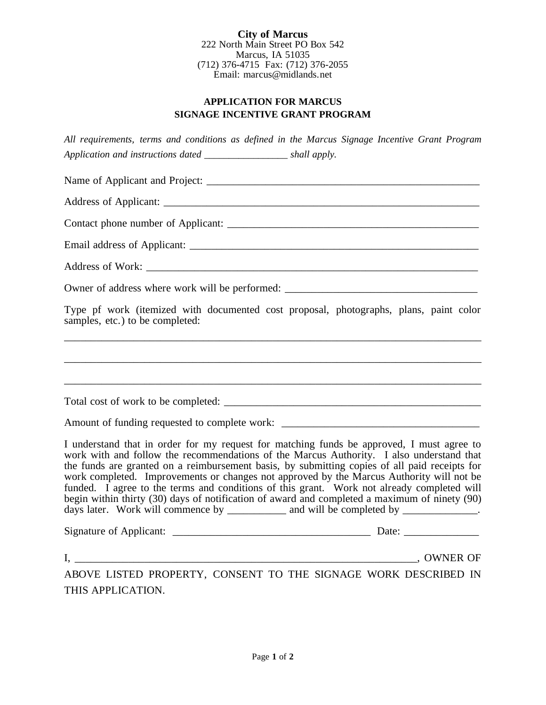**City of Marcus** 222 North Main Street PO Box 542 Marcus, IA 51035 (712) 376-4715 Fax: (712) 376-2055 Email: marcus@midlands.net

## **APPLICATION FOR MARCUS SIGNAGE INCENTIVE GRANT PROGRAM**

*All requirements, terms and conditions as defined in the Marcus Signage Incentive Grant Program Application and instructions dated \_\_\_\_\_\_\_\_\_\_\_\_\_\_\_\_\_ shall apply.*

Name of Applicant and Project:

Address of Applicant: \_\_\_\_\_\_\_\_\_\_\_\_\_\_\_\_\_\_\_\_\_\_\_\_\_\_\_\_\_\_\_\_\_\_\_\_\_\_\_\_\_\_\_\_\_\_\_\_\_\_\_\_\_\_\_\_\_\_\_

Contact phone number of Applicant: \_\_\_\_\_\_\_\_\_\_\_\_\_\_\_\_\_\_\_\_\_\_\_\_\_\_\_\_\_\_\_\_\_\_\_\_\_\_\_\_\_\_\_\_\_\_\_

Email address of Applicant: \_\_\_\_\_\_\_\_\_\_\_\_\_\_\_\_\_\_\_\_\_\_\_\_\_\_\_\_\_\_\_\_\_\_\_\_\_\_\_\_\_\_\_\_\_\_\_\_\_\_\_\_\_\_

Address of Work:

Owner of address where work will be performed: \_\_\_\_\_\_\_\_\_\_\_\_\_\_\_\_\_\_\_\_\_\_\_\_\_\_\_\_\_\_\_\_\_

Type pf work (itemized with documented cost proposal, photographs, plans, paint color samples, etc.) to be completed:

\_\_\_\_\_\_\_\_\_\_\_\_\_\_\_\_\_\_\_\_\_\_\_\_\_\_\_\_\_\_\_\_\_\_\_\_\_\_\_\_\_\_\_\_\_\_\_\_\_\_\_\_\_\_\_\_\_\_\_\_\_\_\_\_\_\_\_\_\_\_\_\_\_\_\_\_\_\_

\_\_\_\_\_\_\_\_\_\_\_\_\_\_\_\_\_\_\_\_\_\_\_\_\_\_\_\_\_\_\_\_\_\_\_\_\_\_\_\_\_\_\_\_\_\_\_\_\_\_\_\_\_\_\_\_\_\_\_\_\_\_\_\_\_\_\_\_\_\_\_\_\_\_\_\_\_\_

\_\_\_\_\_\_\_\_\_\_\_\_\_\_\_\_\_\_\_\_\_\_\_\_\_\_\_\_\_\_\_\_\_\_\_\_\_\_\_\_\_\_\_\_\_\_\_\_\_\_\_\_\_\_\_\_\_\_\_\_\_\_\_\_\_\_\_\_\_\_\_\_\_\_\_\_\_\_

Total cost of work to be completed: \_\_\_\_\_\_\_\_\_\_\_\_\_\_\_\_\_\_\_\_\_\_\_\_\_\_\_\_\_\_\_\_\_\_\_\_\_\_\_\_\_\_\_\_\_\_\_\_

Amount of funding requested to complete work:

I understand that in order for my request for matching funds be approved, I must agree to work with and follow the recommendations of the Marcus Authority. I also understand that the funds are granted on a reimbursement basis, by submitting copies of all paid receipts for work completed. Improvements or changes not approved by the Marcus Authority will not be funded. I agree to the terms and conditions of this grant. Work not already completed will begin within thirty (30) days of notification of award and completed a maximum of ninety (90) days later. Work will commence by \_\_\_\_\_\_\_\_\_\_ and will be completed by \_\_\_\_\_\_\_\_\_\_\_.

Signature of Applicant: \_\_\_\_\_\_\_\_\_\_\_\_\_\_\_\_\_\_\_\_\_\_\_\_\_\_\_\_\_\_\_\_\_\_\_\_\_ Date: \_\_\_\_\_\_\_\_\_\_\_\_\_\_

I, \_\_\_\_\_\_\_\_\_\_\_\_\_\_\_\_\_\_\_\_\_\_\_\_\_\_\_\_\_\_\_\_\_\_\_\_\_\_\_\_\_\_\_\_\_\_\_\_\_\_\_\_\_\_\_\_\_\_\_\_\_\_\_\_, OWNER OF

ABOVE LISTED PROPERTY, CONSENT TO THE SIGNAGE WORK DESCRIBED IN THIS APPLICATION.